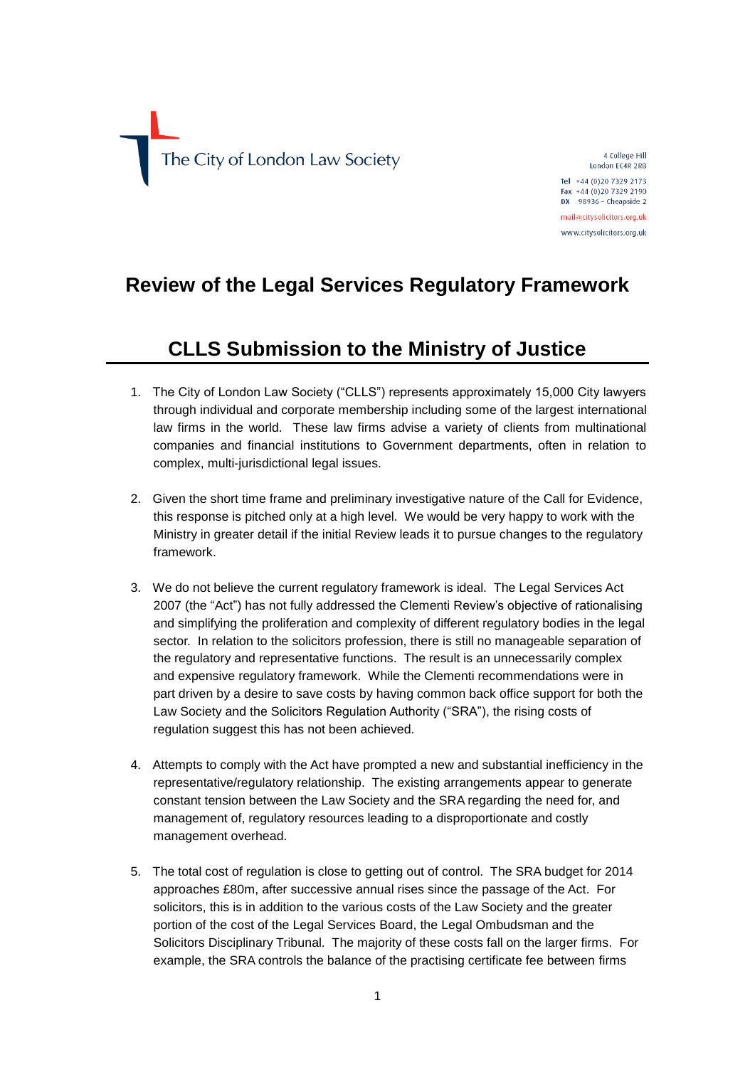

4 College Hill London FC4R 2RB

Tel +44 (0) 20 7329 2173 Fax +44 (0)20 7329 2190 DX 98936 - Cheapside 2 mail@citysolicitors.org.uk

www.citysolicitors.org.uk

## **Review of the Legal Services Regulatory Framework**

## **CLLS Submission to the Ministry of Justice**

- 1. The City of London Law Society ("CLLS") represents approximately 15,000 City lawyers through individual and corporate membership including some of the largest international law firms in the world. These law firms advise a variety of clients from multinational companies and financial institutions to Government departments, often in relation to complex, multi-jurisdictional legal issues.
- 2. Given the short time frame and preliminary investigative nature of the Call for Evidence, this response is pitched only at a high level. We would be very happy to work with the Ministry in greater detail if the initial Review leads it to pursue changes to the regulatory framework.
- 3. We do not believe the current regulatory framework is ideal. The Legal Services Act 2007 (the "Act") has not fully addressed the Clementi Review's objective of rationalising and simplifying the proliferation and complexity of different regulatory bodies in the legal sector. In relation to the solicitors profession, there is still no manageable separation of the regulatory and representative functions. The result is an unnecessarily complex and expensive regulatory framework. While the Clementi recommendations were in part driven by a desire to save costs by having common back office support for both the Law Society and the Solicitors Regulation Authority ("SRA"), the rising costs of regulation suggest this has not been achieved.
- 4. Attempts to comply with the Act have prompted a new and substantial inefficiency in the representative/regulatory relationship. The existing arrangements appear to generate constant tension between the Law Society and the SRA regarding the need for, and management of, regulatory resources leading to a disproportionate and costly management overhead.
- 5. The total cost of regulation is close to getting out of control. The SRA budget for 2014 approaches £80m, after successive annual rises since the passage of the Act. For solicitors, this is in addition to the various costs of the Law Society and the greater portion of the cost of the Legal Services Board, the Legal Ombudsman and the Solicitors Disciplinary Tribunal. The majority of these costs fall on the larger firms. For example, the SRA controls the balance of the practising certificate fee between firms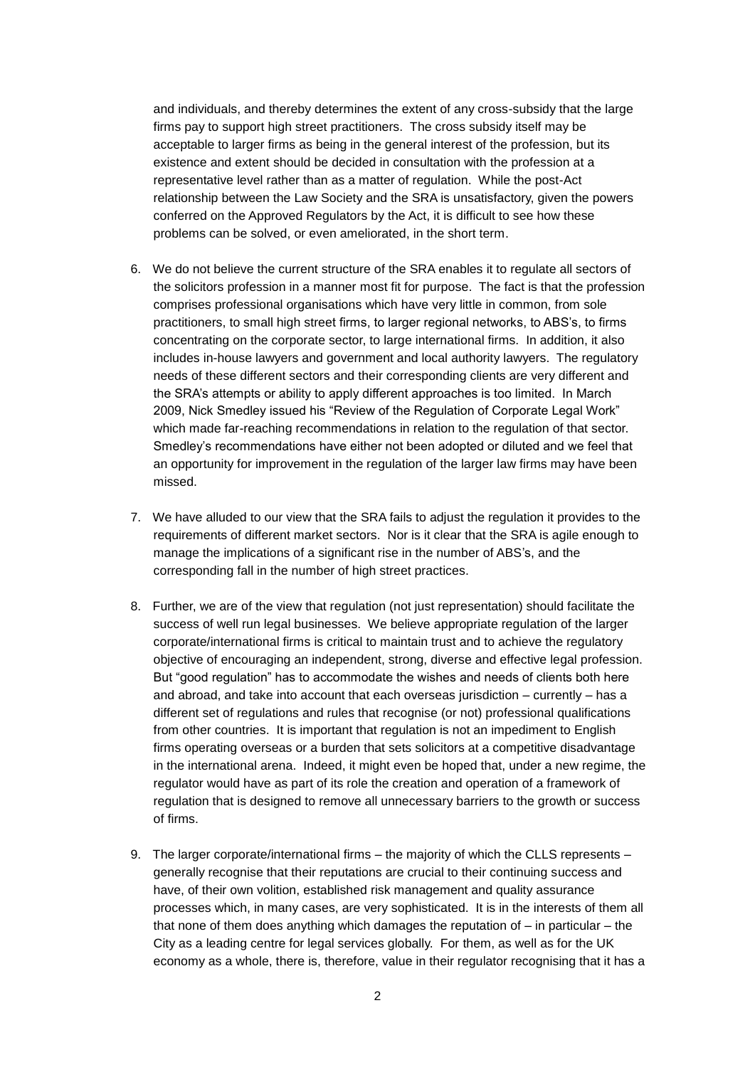and individuals, and thereby determines the extent of any cross-subsidy that the large firms pay to support high street practitioners. The cross subsidy itself may be acceptable to larger firms as being in the general interest of the profession, but its existence and extent should be decided in consultation with the profession at a representative level rather than as a matter of regulation. While the post-Act relationship between the Law Society and the SRA is unsatisfactory, given the powers conferred on the Approved Regulators by the Act, it is difficult to see how these problems can be solved, or even ameliorated, in the short term.

- 6. We do not believe the current structure of the SRA enables it to regulate all sectors of the solicitors profession in a manner most fit for purpose. The fact is that the profession comprises professional organisations which have very little in common, from sole practitioners, to small high street firms, to larger regional networks, to ABS's, to firms concentrating on the corporate sector, to large international firms. In addition, it also includes in-house lawyers and government and local authority lawyers. The regulatory needs of these different sectors and their corresponding clients are very different and the SRA's attempts or ability to apply different approaches is too limited. In March 2009, Nick Smedley issued his "Review of the Regulation of Corporate Legal Work" which made far-reaching recommendations in relation to the regulation of that sector. Smedley's recommendations have either not been adopted or diluted and we feel that an opportunity for improvement in the regulation of the larger law firms may have been missed.
- 7. We have alluded to our view that the SRA fails to adjust the regulation it provides to the requirements of different market sectors. Nor is it clear that the SRA is agile enough to manage the implications of a significant rise in the number of ABS's, and the corresponding fall in the number of high street practices.
- 8. Further, we are of the view that regulation (not just representation) should facilitate the success of well run legal businesses. We believe appropriate regulation of the larger corporate/international firms is critical to maintain trust and to achieve the regulatory objective of encouraging an independent, strong, diverse and effective legal profession. But "good regulation" has to accommodate the wishes and needs of clients both here and abroad, and take into account that each overseas jurisdiction – currently – has a different set of regulations and rules that recognise (or not) professional qualifications from other countries. It is important that regulation is not an impediment to English firms operating overseas or a burden that sets solicitors at a competitive disadvantage in the international arena. Indeed, it might even be hoped that, under a new regime, the regulator would have as part of its role the creation and operation of a framework of regulation that is designed to remove all unnecessary barriers to the growth or success of firms.
- 9. The larger corporate/international firms the majority of which the CLLS represents generally recognise that their reputations are crucial to their continuing success and have, of their own volition, established risk management and quality assurance processes which, in many cases, are very sophisticated. It is in the interests of them all that none of them does anything which damages the reputation of  $-$  in particular  $-$  the City as a leading centre for legal services globally. For them, as well as for the UK economy as a whole, there is, therefore, value in their regulator recognising that it has a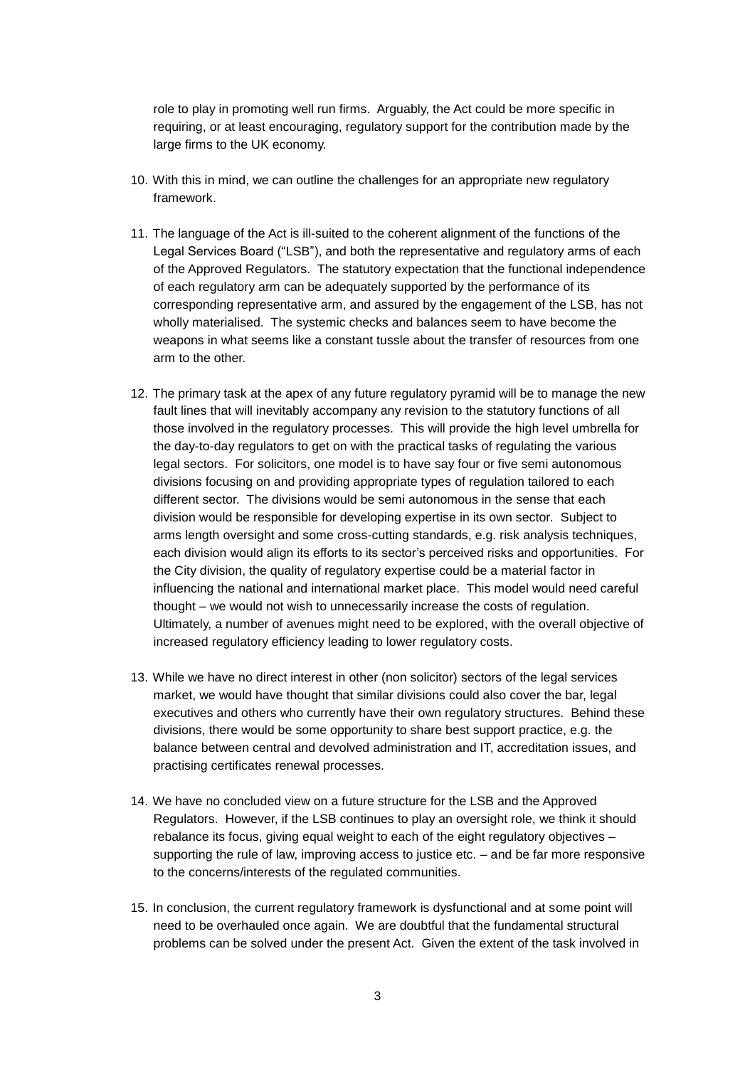role to play in promoting well run firms. Arguably, the Act could be more specific in requiring, or at least encouraging, regulatory support for the contribution made by the large firms to the UK economy.

- 10. With this in mind, we can outline the challenges for an appropriate new regulatory framework.
- 11. The language of the Act is ill-suited to the coherent alignment of the functions of the Legal Services Board ("LSB"), and both the representative and regulatory arms of each of the Approved Regulators. The statutory expectation that the functional independence of each regulatory arm can be adequately supported by the performance of its corresponding representative arm, and assured by the engagement of the LSB, has not wholly materialised. The systemic checks and balances seem to have become the weapons in what seems like a constant tussle about the transfer of resources from one arm to the other.
- 12. The primary task at the apex of any future regulatory pyramid will be to manage the new fault lines that will inevitably accompany any revision to the statutory functions of all those involved in the regulatory processes. This will provide the high level umbrella for the day-to-day regulators to get on with the practical tasks of regulating the various legal sectors. For solicitors, one model is to have say four or five semi autonomous divisions focusing on and providing appropriate types of regulation tailored to each different sector. The divisions would be semi autonomous in the sense that each division would be responsible for developing expertise in its own sector. Subject to arms length oversight and some cross-cutting standards, e.g. risk analysis techniques, each division would align its efforts to its sector's perceived risks and opportunities. For the City division, the quality of regulatory expertise could be a material factor in influencing the national and international market place. This model would need careful thought – we would not wish to unnecessarily increase the costs of regulation. Ultimately, a number of avenues might need to be explored, with the overall objective of increased regulatory efficiency leading to lower regulatory costs.
- 13. While we have no direct interest in other (non solicitor) sectors of the legal services market, we would have thought that similar divisions could also cover the bar, legal executives and others who currently have their own regulatory structures. Behind these divisions, there would be some opportunity to share best support practice, e.g. the balance between central and devolved administration and IT, accreditation issues, and practising certificates renewal processes.
- 14. We have no concluded view on a future structure for the LSB and the Approved Regulators. However, if the LSB continues to play an oversight role, we think it should rebalance its focus, giving equal weight to each of the eight regulatory objectives – supporting the rule of law, improving access to justice etc. – and be far more responsive to the concerns/interests of the regulated communities.
- 15. In conclusion, the current regulatory framework is dysfunctional and at some point will need to be overhauled once again. We are doubtful that the fundamental structural problems can be solved under the present Act. Given the extent of the task involved in